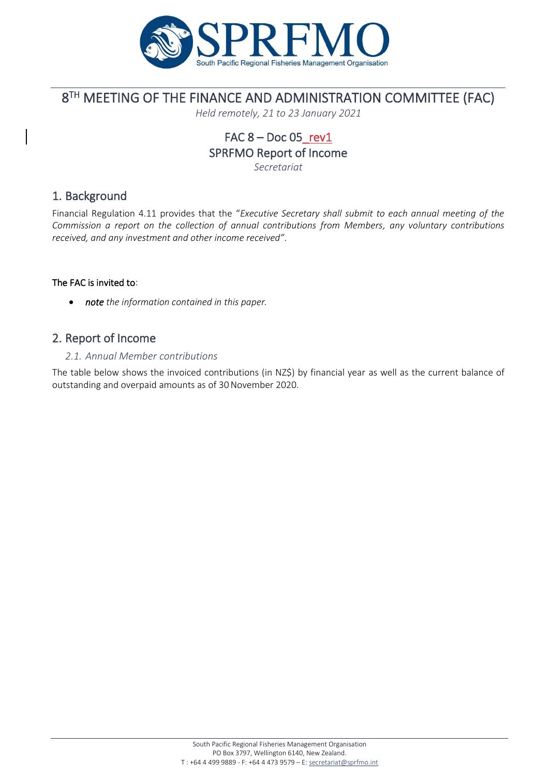

# 8 TH MEETING OF THE FINANCE AND ADMINISTRATION COMMITTEE (FAC)

*Held remotely, 21 to 23 January 2021*

# FAC  $8 - Doc05$  rev1 SPRFMO Report of Income

*Secretariat*

## 1. Background

Financial Regulation 4.11 provides that the "*Executive Secretary shall submit to each annual meeting of the Commission a report on the collection of annual contributions from Members, any voluntary contributions received, and any investment and other income received"*.

### The FAC is invited to:

• *note the information contained in this paper.*

# 2. Report of Income

*2.1. Annual Member contributions*

The table below shows the invoiced contributions (in NZ\$) by financial year as well as the current balance of outstanding and overpaid amounts as of 30November 2020.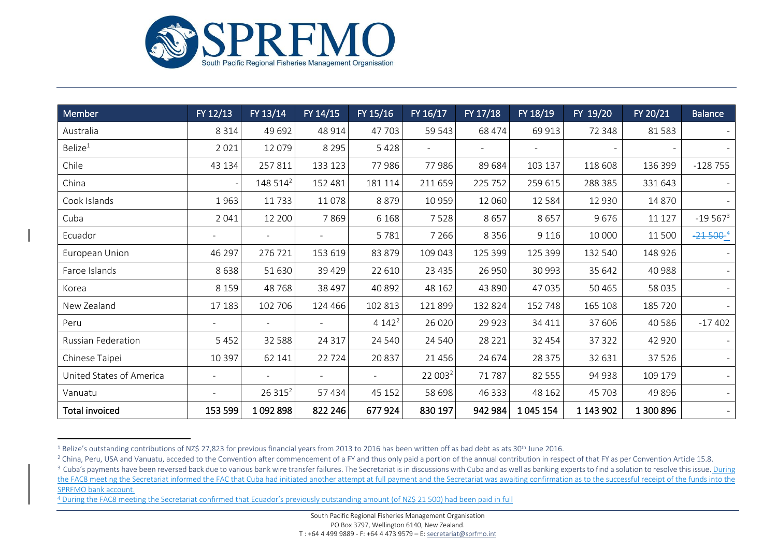

| Member                    | FY 12/13                 | FY 13/14             | FY 14/15                 | FY 15/16     | FY 16/17            | FY 17/18                 | FY 18/19                 | FY 19/20  | FY 20/21  | <b>Balance</b>           |
|---------------------------|--------------------------|----------------------|--------------------------|--------------|---------------------|--------------------------|--------------------------|-----------|-----------|--------------------------|
| Australia                 | 8 3 1 4                  | 49 692               | 48 914                   | 47703        | 59 543              | 68 474                   | 69 913                   | 72 348    | 81583     |                          |
| Belize <sup>1</sup>       | 2 0 2 1                  | 12 0 79              | 8 2 9 5                  | 5428         | $\sim$              | $\overline{\phantom{a}}$ | $\overline{\phantom{a}}$ |           |           |                          |
| Chile                     | 43 134                   | 257 811              | 133 123                  | 77986        | 77986               | 89 684                   | 103 137                  | 118 608   | 136 399   | $-128755$                |
| China                     |                          | 148 514 <sup>2</sup> | 152 481                  | 181 114      | 211 659             | 225 752                  | 259 615                  | 288 385   | 331 643   |                          |
| Cook Islands              | 1963                     | 11733                | 11078                    | 8879         | 10959               | 12 060                   | 12 5 8 4                 | 12 9 30   | 14 870    |                          |
| Cuba                      | 2 0 4 1                  | 12 200               | 7869                     | 6 1 6 8      | 7528                | 8657                     | 8657                     | 9676      | 11 127    | $-19567^3$               |
| Ecuador                   |                          | $\sim$               |                          | 5781         | 7 2 6 6             | 8 3 5 6                  | 9 1 1 6                  | 10 000    | 11500     | $-21 - 500 - 4$          |
| European Union            | 46 297                   | 276 721              | 153 619                  | 83 879       | 109 043             | 125 399                  | 125 399                  | 132 540   | 148 926   |                          |
| Faroe Islands             | 8638                     | 51 630               | 39 4 29                  | 22 6 10      | 23 4 35             | 26 950                   | 30 993                   | 35 642    | 40 988    |                          |
| Korea                     | 8 1 5 9                  | 48768                | 38 497                   | 40 892       | 48 162              | 43 890                   | 47035                    | 50 4 65   | 58 035    |                          |
| New Zealand               | 17 183                   | 102 706              | 124 466                  | 102 813      | 121 899             | 132 824                  | 152 748                  | 165 108   | 185 720   |                          |
| Peru                      | $\overline{\phantom{a}}$ | $\sim$               | $\overline{\phantom{a}}$ | 4 1 4 2 $^2$ | 26 0 20             | 29 9 23                  | 34 4 11                  | 37 606    | 40 5 86   | $-17402$                 |
| <b>Russian Federation</b> | 5 4 5 2                  | 32 588               | 24 3 17                  | 24 540       | 24 540              | 28 2 2 1                 | 32 454                   | 37 322    | 42 920    |                          |
| Chinese Taipei            | 10 3 9 7                 | 62 141               | 22724                    | 20837        | 21 4 5 6            | 24 674                   | 28 375                   | 32 631    | 37 5 26   |                          |
| United States of America  | ÷.                       | $\sim$               | $\sim$                   | $\sim$       | 22 003 <sup>2</sup> | 71787                    | 82 555                   | 94 938    | 109 179   |                          |
| Vanuatu                   | $\overline{\phantom{a}}$ | $26315^2$            | 57 434                   | 45 152       | 58 698              | 46 3 33                  | 48 162                   | 45 703    | 49 896    |                          |
| <b>Total invoiced</b>     | 153 599                  | 1092898              | 822 246                  | 677924       | 830 197             | 942 984                  | 1 045 154                | 1 143 902 | 1 300 896 | $\overline{\phantom{a}}$ |

<sup>&</sup>lt;sup>1</sup> Belize's outstanding contributions of NZ\$ 27,823 for previous financial years from 2013 to 2016 has been written off as bad debt as ats 30<sup>th</sup> June 2016.

<sup>&</sup>lt;sup>2</sup> China, Peru, USA and Vanuatu, acceded to the Convention after commencement of a FY and thus only paid a portion of the annual contribution in respect of that FY as per Convention Article 15.8.

<sup>&</sup>lt;sup>3</sup> Cuba's payments have been reversed back due to various bank wire transfer failures. The Secretariat is in discussions with Cuba and as well as banking experts to find a solution to resolve this issue. During the FAC8 meeting the Secretariat informed the FAC that Cuba had initiated another attempt at full payment and the Secretariat was awaiting confirmation as to the successful receipt of the funds into the SPRFMO bank account.

<sup>4</sup> During the FAC8 meeting the Secretariat confirmed that Ecuador's previously outstanding amount (of NZ\$ 21 500) had been paid in full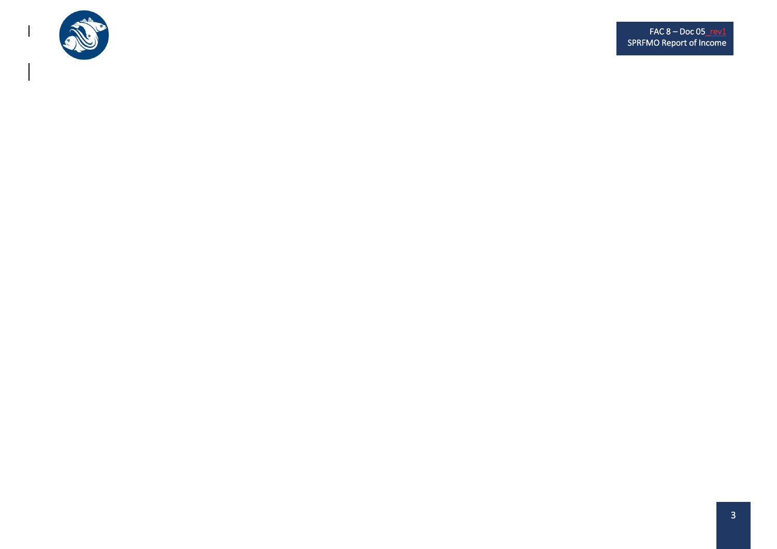

 $\overline{\phantom{a}}$ 

l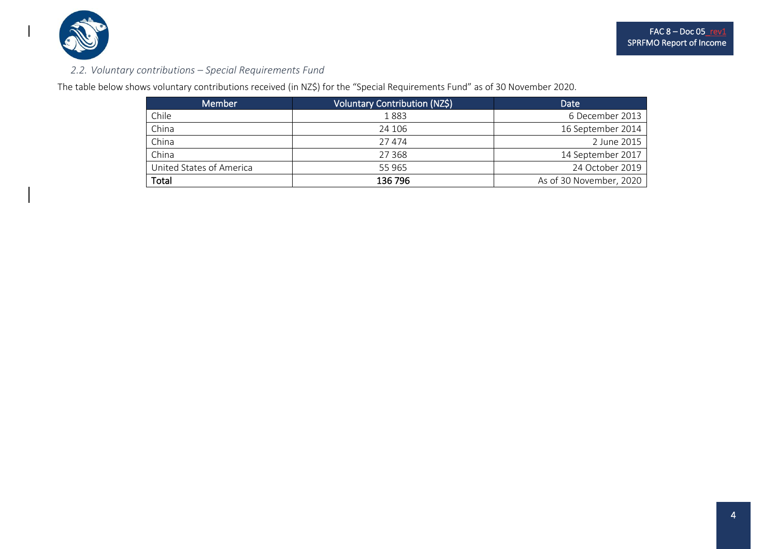

### *2.2. Voluntary contributions – Special Requirements Fund*

The table below shows voluntary contributions received (in NZ\$) for the "Special Requirements Fund" as of 30 November 2020.

| <b>Member</b>            | <b>Voluntary Contribution (NZ\$)</b> | <b>Date</b>             |
|--------------------------|--------------------------------------|-------------------------|
| Chile                    | 1883                                 | 6 December 2013         |
| China                    | 24 106                               | 16 September 2014       |
| China                    | 27 474                               | 2 June 2015             |
| China                    | 27 3 68                              | 14 September 2017       |
| United States of America | 55 965                               | 24 October 2019         |
| Total                    | 136 796                              | As of 30 November, 2020 |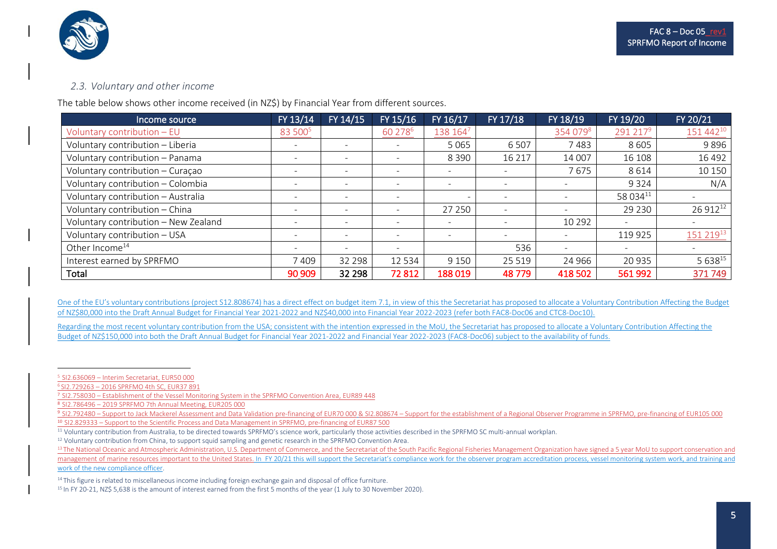

#### *2.3. Voluntary and other income*

The table below shows other income received (in NZ\$) by Financial Year from different sources.

| Income source                        | FY 13/14                     | FY 14/15                 | FY 15/16                 | FY 16/17                 | FY 17/18                 | FY 18/19                 | FY 19/20                 | FY 20/21                 |
|--------------------------------------|------------------------------|--------------------------|--------------------------|--------------------------|--------------------------|--------------------------|--------------------------|--------------------------|
| Voluntary contribution - EU          | 83 500 <sup>5</sup>          |                          | 60 278 <sup>6</sup>      | 138 1647                 |                          | 354 0798                 | 291 217 <sup>9</sup>     | 151 44210                |
| Voluntary contribution - Liberia     | $\overline{\phantom{0}}$     |                          | $\overline{\phantom{0}}$ | 5 0 6 5                  | 6507                     | 7483                     | 8 6 0 5                  | 9896                     |
| Voluntary contribution - Panama      | $\qquad \qquad \blacksquare$ | -                        | $\overline{\phantom{0}}$ | 8 3 9 0                  | 16 217                   | 14 007                   | 16 108                   | 16 4 92                  |
| Voluntary contribution - Curaçao     | $\qquad \qquad \blacksquare$ |                          | $\overline{\phantom{a}}$ | $\overline{\phantom{0}}$ |                          | 7675                     | 8614                     | 10 150                   |
| Voluntary contribution - Colombia    | $\qquad \qquad \blacksquare$ |                          | $\overline{\phantom{0}}$ | $\overline{\phantom{a}}$ |                          |                          | 9 3 2 4                  | N/A                      |
| Voluntary contribution - Australia   | $\qquad \qquad \blacksquare$ |                          |                          | $\overline{\phantom{0}}$ |                          | $\overline{\phantom{0}}$ | 58 03411                 |                          |
| Voluntary contribution - China       | $\overline{\phantom{a}}$     | $\overline{\phantom{0}}$ |                          | 27 250                   | $\overline{\phantom{0}}$ | $\overline{\phantom{a}}$ | 29 2 30                  | 26 91212                 |
| Voluntary contribution - New Zealand | $\overline{\phantom{a}}$     |                          | $\overline{a}$           | $\overline{\phantom{a}}$ |                          | 10 2 9 2                 | Ξ.                       | $\overline{\phantom{a}}$ |
| Voluntary contribution - USA         | -                            | $\overline{\phantom{0}}$ | $\overline{a}$           | $\overline{\phantom{a}}$ | $\overline{\phantom{0}}$ | $\overline{\phantom{a}}$ | 119 925                  | 151 21913                |
| Other Income <sup>14</sup>           | $\qquad \qquad \blacksquare$ | $\overline{\phantom{a}}$ | $\overline{\phantom{a}}$ |                          | 536                      | $\overline{\phantom{a}}$ | $\overline{\phantom{a}}$ | $\sim$                   |
| Interest earned by SPRFMO            | 7409                         | 32 298                   | 12 5 34                  | 9 1 5 0                  | 25 5 19                  | 24 9 66                  | 20 9 35                  | 5 63815                  |
| Total                                | 90 909                       | 32 298                   | 72812                    | 188019                   | 48779                    | 418 502                  | 561992                   | 371749                   |

One of the EU's voluntary contributions (project S12.808674) has a direct effect on budget item 7.1, in view of this the Secretariat has proposed to allocate a Voluntary Contribution Affecting the Budget of NZ\$80,000 into the Draft Annual Budget for Financial Year 2021-2022 and NZ\$40,000 into Financial Year 2022-2023 (refer both FAC8-Doc06 and CTC8-Doc10).

Regarding the most recent voluntary contribution from the USA; consistent with the intention expressed in the MoU, the Secretariat has proposed to allocate a Voluntary Contribution Affecting the Budget of NZ\$150,000 into both the Draft Annual Budget for Financial Year 2021-2022 and Financial Year 2022-2023 (FAC8-Doc06) subject to the availability of funds.

<sup>5</sup> SI2.636069 – Interim Secretariat, EUR50 000

<sup>6</sup> SI2.729263 – 2016 SPRFMO 4th SC, EUR37 891

<sup>7</sup> SI2.758030 – Establishment of the Vessel Monitoring System in the SPRFMO Convention Area, EUR89 448

<sup>8</sup> SI2.786496 – 2019 SPRFMO 7th Annual Meeting, EUR205 000

<sup>9</sup> SI2.792480 – Support to Jack Mackerel Assessment and Data Validation pre-financing of EUR70 000 & SI2.808674 – Support for the establishment of a Regional Observer Programme in SPRFMO, pre-financing of EUR105 000

<sup>10</sup> SI2.829333 – Support to the Scientific Process and Data Management in SPRFMO, pre-financing of EUR87 500

<sup>11</sup> Voluntary contribution from Australia, to be directed towards SPRFMO's science work, particularly those activities described in the SPRFMO SC multi-annual workplan.

<sup>12</sup> Voluntary contribution from China, to support squid sampling and genetic research in the SPRFMO Convention Area.

<sup>13</sup> The National Oceanic and Atmospheric Administration, U.S. Department of Commerce, and the Secretariat of the South Pacific Regional Fisheries Management Organization have signed a 5 year MoU to support conservation an [management of marine resources important to the United States.](http://www.sprfmo.int/assets/Cooperation-with-others/MoU-NOAA-SPRFMO-COsigned20200916.pdf) In FY 20/21 this will support the Secretariat's compliance work for the observer program accreditation process, vessel monitoring system work, and training and work of the new compliance officer.

 $14$  This figure is related to miscellaneous income including foreign exchange gain and disposal of office furniture.

<sup>&</sup>lt;sup>15</sup> In FY 20-21, NZ\$ 5,638 is the amount of interest earned from the first 5 months of the year (1 July to 30 November 2020).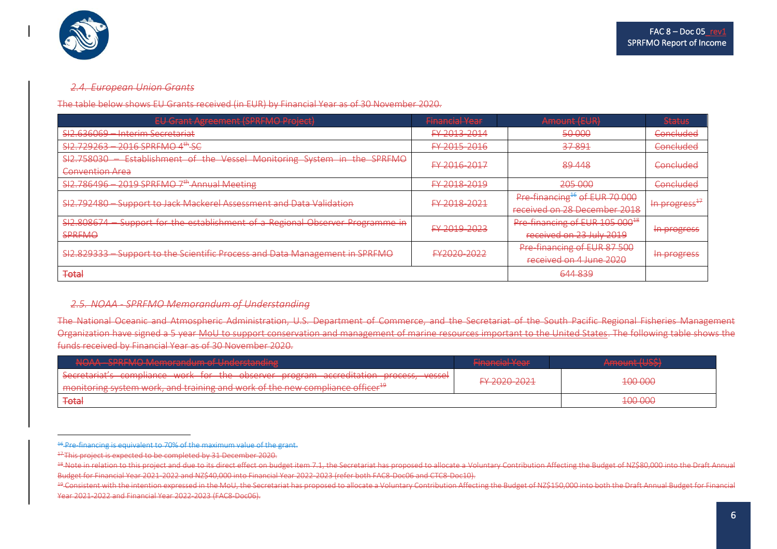

#### *2.4. European Union Grants*

The table below shows EU Grants received (in EUR) by Financial Year as of 30 November 2020.

| <b>EU Grant Agreement (SPRFMO Project)</b>                                      | Financial Year | Amount (EUR)                               | <b>Status</b>                                      |  |
|---------------------------------------------------------------------------------|----------------|--------------------------------------------|----------------------------------------------------|--|
| SI2.636069<br><b>Interim Secretariat</b>                                        | FY 2013 2014   | 50 000                                     | Concluded                                          |  |
| 2016 SPRFMO 4 <sup>th</sup> SC<br>SI2.729263                                    | FY 2015 2016   | 37891                                      | Concluded                                          |  |
| Establishment of the Vessel Monitoring System in the SPRFMO<br>SI2.758030       | FY 2016-2017   | 89448                                      | Concluded                                          |  |
| Convention Area                                                                 |                |                                            |                                                    |  |
| $SI2.786496 - 2019$ SPRFMO $7th$ Annual Meeting                                 | FY 2018-2019   | 205 000                                    | Concluded                                          |  |
| SI2.792480 - Support to Jack Mackerel Assessment and Data Validation            | FY 2018-2021   | Pre-financing <sup>16</sup> of EUR 70 000  | <del>In progress<sup>17</sup></del><br>In progress |  |
|                                                                                 |                | received on 28 December 2018               |                                                    |  |
| Support for the establishment of a Regional Observer Programme in<br>SI2.808674 | FY 2019-2023   | Pre-financing of EUR 105 000 <sup>18</sup> |                                                    |  |
| <b>SPRFMO</b>                                                                   |                | received on 23 July 2019                   |                                                    |  |
| SI2.829333 - Support to the Scientific Process and Data Management in SPRFMO    | FY2020-2022    | Pre-financing of EUR 87 500                |                                                    |  |
|                                                                                 |                | received on 4 June 2020                    | In progress                                        |  |
| <b>Total</b>                                                                    |                | 644 839                                    |                                                    |  |

#### *2.5. NOAA - SPRFMO Memorandum of Understanding*

The National Oceanic and Atmospheric Administration, U.S. Department of Commerce, and the Secretariat of the South Pacific Regional Fisheries Management Organization have signed a 5 year MoU to support conservation and management of marine resources important to the United States. The following table shows the funds received by Financial Year as of 30 November 2020.

| NOAA - SPREMO Memorandum of Understanding<br><del>, now a annuncement and an onderstanding</del>                                                                                                                                                                                                 | Financial Year     | $A$ mount $A$ $\in$ $\in$<br><b>Think wind it was r</b> |
|--------------------------------------------------------------------------------------------------------------------------------------------------------------------------------------------------------------------------------------------------------------------------------------------------|--------------------|---------------------------------------------------------|
| Secretariat's compliance work for the observer program accreditation process yessel<br><del>sculcianat's compilance work for the observer program accreditation</del><br><del>uluccos, vessei</del><br>monitoring system work, and training and work of the new compliance officer <sup>19</sup> | FY 2020 2021       | 100 000                                                 |
| <b>Total</b>                                                                                                                                                                                                                                                                                     | <del>100 000</del> |                                                         |

<sup>&</sup>lt;sup>16</sup> Pre-financing is equivalent to 70% of the maximum value of the grant.

<sup>17</sup> This project is expected to be completed by 31 December 2020.

<sup>18</sup> Note in relation to this project and due to its direct effect on budget item 7.1, the Secretariat has proposed to allocate a Voluntary Contribution Affecting the Budget of NZ\$80,000 into the Draft Annual Budget for Financial Year 2021-2022 and NZ\$40,000 into Financial Year 2022-2023 (refer both FAC8-Doc06 and CTC8-Doc10).

<sup>19</sup> Consistent with the intention expressed in the MoU, the Secretariat has proposed to allocate a Voluntary Contribution Affecting the Budget of NZ\$150,000 into both the Draft Annual Budget for Financial Year 2021-2022 and Financial Year 2022-2023 (FAC8-Doc06).